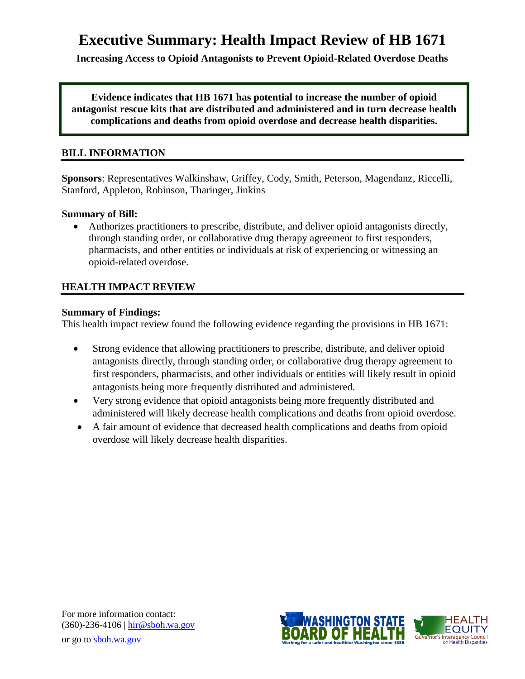# **Executive Summary: Health Impact Review of HB 1671**

**Increasing Access to Opioid Antagonists to Prevent Opioid-Related Overdose Deaths**

**Evidence indicates that HB 1671 has potential to increase the number of opioid antagonist rescue kits that are distributed and administered and in turn decrease health complications and deaths from opioid overdose and decrease health disparities.**

#### **BILL INFORMATION**

**Sponsors**: Representatives [Walkinshaw,](http://www.leg.wa.gov/house/representatives/pages/default.aspx#Walkinshaw) [Griffey,](http://www.leg.wa.gov/house/representatives/pages/default.aspx#Griffey) [Cody,](http://www.leg.wa.gov/house/representatives/pages/default.aspx#Cody) [Smith,](http://www.leg.wa.gov/house/representatives/pages/default.aspx#Smith) [Peterson,](http://www.leg.wa.gov/house/representatives/pages/default.aspx#Peterson) [Magendanz,](http://www.leg.wa.gov/house/representatives/pages/default.aspx#Magendanz) [Riccelli,](http://www.leg.wa.gov/house/representatives/pages/default.aspx#Riccelli) [Stanford,](http://www.leg.wa.gov/house/representatives/pages/default.aspx#Stanford) [Appleton,](http://www.leg.wa.gov/house/representatives/pages/default.aspx#Appleton) [Robinson,](http://www.leg.wa.gov/house/representatives/pages/default.aspx#Robinson) [Tharinger,](http://www.leg.wa.gov/house/representatives/pages/default.aspx#Tharinger) [Jinkins](http://www.leg.wa.gov/house/representatives/pages/default.aspx#Jinkins)

#### **Summary of Bill:**

 Authorizes practitioners to prescribe, distribute, and deliver opioid antagonists directly, through standing order, or collaborative drug therapy agreement to first responders, pharmacists, and other entities or individuals at risk of experiencing or witnessing an opioid-related overdose.

### **HEALTH IMPACT REVIEW**

#### **Summary of Findings:**

This health impact review found the following evidence regarding the provisions in HB 1671:

- Strong evidence that allowing practitioners to prescribe, distribute, and deliver opioid antagonists directly, through standing order, or collaborative drug therapy agreement to first responders, pharmacists, and other individuals or entities will likely result in opioid antagonists being more frequently distributed and administered.
- Very strong evidence that opioid antagonists being more frequently distributed and administered will likely decrease health complications and deaths from opioid overdose.
- A fair amount of evidence that decreased health complications and deaths from opioid overdose will likely decrease health disparities.

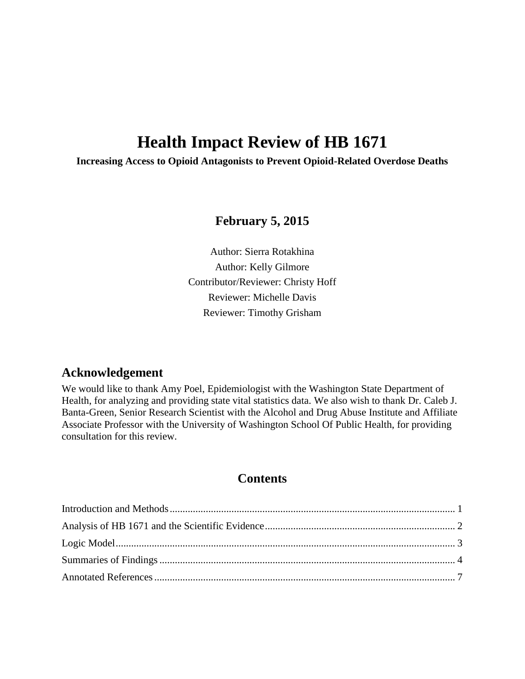# **Health Impact Review of HB 1671**

**Increasing Access to Opioid Antagonists to Prevent Opioid-Related Overdose Deaths**

## **February 5, 2015**

Author: Sierra Rotakhina Author: Kelly Gilmore Contributor/Reviewer: Christy Hoff Reviewer: Michelle Davis Reviewer: Timothy Grisham

## **Acknowledgement**

We would like to thank Amy Poel, Epidemiologist with the Washington State Department of Health, for analyzing and providing state vital statistics data. We also wish to thank Dr. Caleb J. Banta-Green, Senior Research Scientist with the Alcohol and Drug Abuse Institute and Affiliate Associate Professor with the University of Washington School Of Public Health, for providing consultation for this review.

## **Contents**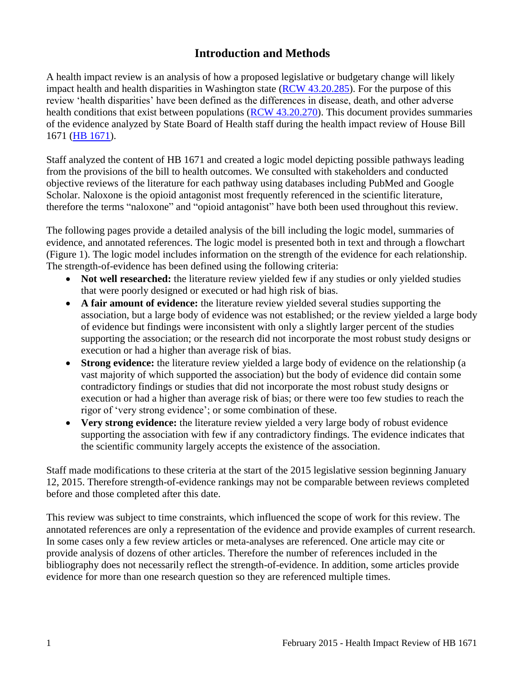## **Introduction and Methods**

<span id="page-2-0"></span>A health impact review is an analysis of how a proposed legislative or budgetary change will likely impact health and health disparities in Washington state [\(RCW 43.20.285\)](http://apps.leg.wa.gov/rcw/default.aspx?cite=43.20.285). For the purpose of this review 'health disparities' have been defined as the differences in disease, death, and other adverse health conditions that exist between populations [\(RCW 43.20.270\)](http://apps.leg.wa.gov/rcw/default.aspx?cite=43.20.270). This document provides summaries of the evidence analyzed by State Board of Health staff during the health impact review of House Bill 1671 [\(HB 1671\)](http://app.leg.wa.gov/billinfo/summary.aspx?bill=1671&year=2015).

Staff analyzed the content of HB 1671 and created a logic model depicting possible pathways leading from the provisions of the bill to health outcomes. We consulted with stakeholders and conducted objective reviews of the literature for each pathway using databases including PubMed and Google Scholar. Naloxone is the opioid antagonist most frequently referenced in the scientific literature, therefore the terms "naloxone" and "opioid antagonist" have both been used throughout this review.

The following pages provide a detailed analysis of the bill including the logic model, summaries of evidence, and annotated references. The logic model is presented both in text and through a flowchart (Figure 1). The logic model includes information on the strength of the evidence for each relationship. The strength-of-evidence has been defined using the following criteria:

- Not well researched: the literature review yielded few if any studies or only yielded studies that were poorly designed or executed or had high risk of bias.
- **A fair amount of evidence:** the literature review yielded several studies supporting the association, but a large body of evidence was not established; or the review yielded a large body of evidence but findings were inconsistent with only a slightly larger percent of the studies supporting the association; or the research did not incorporate the most robust study designs or execution or had a higher than average risk of bias.
- **Strong evidence:** the literature review yielded a large body of evidence on the relationship (a vast majority of which supported the association) but the body of evidence did contain some contradictory findings or studies that did not incorporate the most robust study designs or execution or had a higher than average risk of bias; or there were too few studies to reach the rigor of 'very strong evidence'; or some combination of these.
- **Very strong evidence:** the literature review yielded a very large body of robust evidence supporting the association with few if any contradictory findings. The evidence indicates that the scientific community largely accepts the existence of the association.

Staff made modifications to these criteria at the start of the 2015 legislative session beginning January 12, 2015. Therefore strength-of-evidence rankings may not be comparable between reviews completed before and those completed after this date.

This review was subject to time constraints, which influenced the scope of work for this review. The annotated references are only a representation of the evidence and provide examples of current research. In some cases only a few review articles or meta-analyses are referenced. One article may cite or provide analysis of dozens of other articles. Therefore the number of references included in the bibliography does not necessarily reflect the strength-of-evidence. In addition, some articles provide evidence for more than one research question so they are referenced multiple times.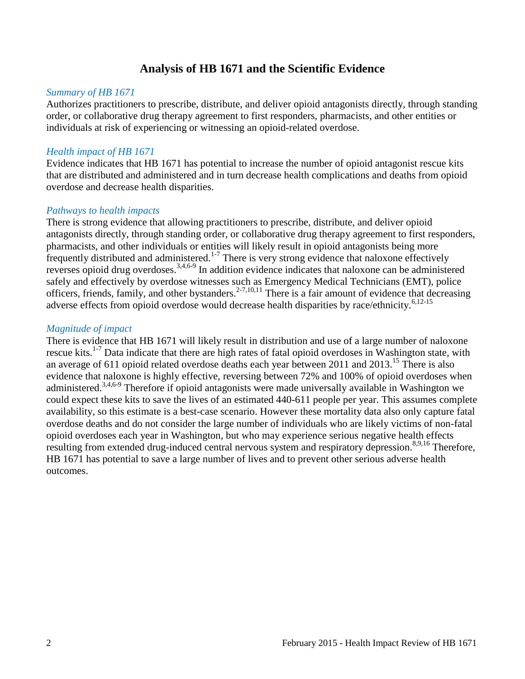## **Analysis of HB 1671 and the Scientific Evidence**

#### <span id="page-3-0"></span>*Summary of HB 1671*

Authorizes practitioners to prescribe, distribute, and deliver opioid antagonists directly, through standing order, or collaborative drug therapy agreement to first responders, pharmacists, and other entities or individuals at risk of experiencing or witnessing an opioid-related overdose.

#### *Health impact of HB 1671*

Evidence indicates that HB 1671 has potential to increase the number of opioid antagonist rescue kits that are distributed and administered and in turn decrease health complications and deaths from opioid overdose and decrease health disparities.

#### *Pathways to health impacts*

There is strong evidence that allowing practitioners to prescribe, distribute, and deliver opioid antagonists directly, through standing order, or collaborative drug therapy agreement to first responders, pharmacists, and other individuals or entities will likely result in opioid antagonists being more  $\frac{1}{2}$  frequently distributed and administered.<sup>[1-7](#page-8-1)</sup> There is very strong evidence that naloxone effectively reverses opioid drug overdoses.<sup>[3](#page-8-2)[,4](#page-8-3)[,6-9](#page-9-0)</sup> In addition evidence indicates that naloxone can be administered safely and effectively by overdose witnesses such as Emergency Medical Technicians (EMT), police officers, friends, family, and other bystanders.<sup>[2-7,](#page-8-4)[10,](#page-12-0)[11](#page-12-1)</sup> There is a fair amount of evidence that decreasing adverse effects from opioid overdose would decrease health disparities by race/ethnicity.<sup>[6](#page-9-0)[,12-15](#page-13-0)</sup>

#### *Magnitude of impact*

There is evidence that HB 1671 will likely result in distribution and use of a large number of naloxone rescue kits.<sup>[1-7](#page-8-1)</sup> Data indicate that there are high rates of fatal opioid overdoses in Washington state, with an average of 611 opioid related overdose deaths each year between 2011 and  $2013$ .<sup>[15](#page-13-1)</sup> There is also evidence that naloxone is highly effective, reversing between 72% and 100% of opioid overdoses when administered.<sup>[3](#page-8-2)[,4](#page-8-3)[,6-9](#page-9-0)</sup> Therefore if opioid antagonists were made universally available in Washington we could expect these kits to save the lives of an estimated 440-611 people per year. This assumes complete availability, so this estimate is a best-case scenario. However these mortality data also only capture fatal overdose deaths and do not consider the large number of individuals who are likely victims of non-fatal opioid overdoses each year in Washington, but who may experience serious negative health effects resulting from extended drug-induced central nervous system and respiratory depression.<sup>[8](#page-11-0)[,9](#page-11-1)[,16](#page-14-0)</sup> Therefore, HB 1671 has potential to save a large number of lives and to prevent other serious adverse health outcomes.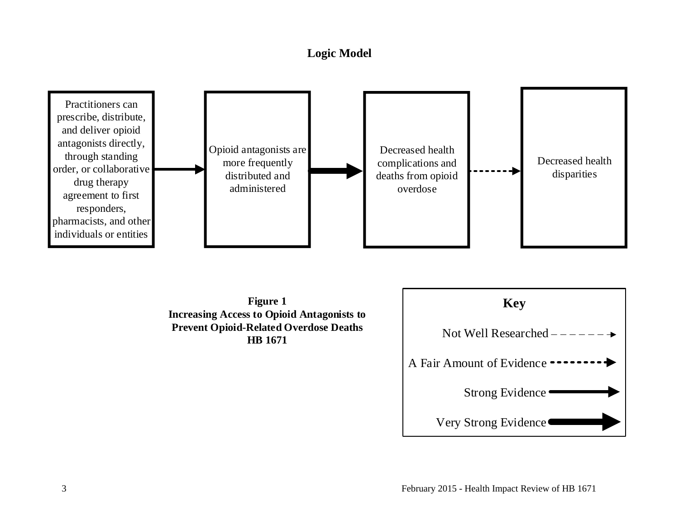## **Logic Model**

<span id="page-4-0"></span>



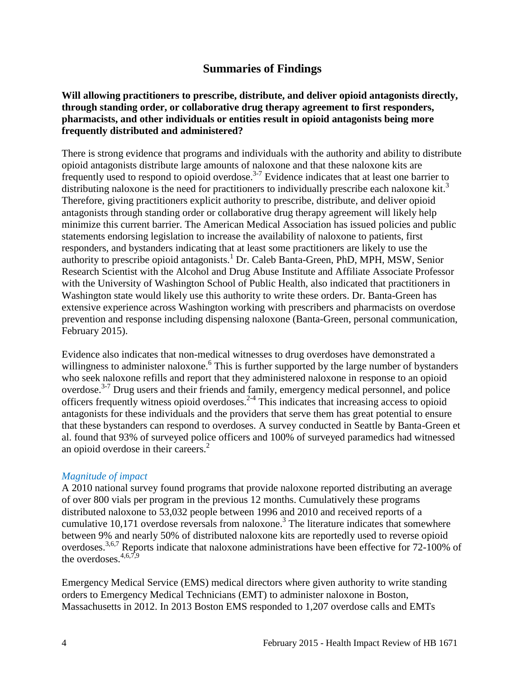## **Summaries of Findings**

#### <span id="page-5-0"></span>**Will allowing practitioners to prescribe, distribute, and deliver opioid antagonists directly, through standing order, or collaborative drug therapy agreement to first responders, pharmacists, and other individuals or entities result in opioid antagonists being more frequently distributed and administered?**

There is strong evidence that programs and individuals with the authority and ability to distribute opioid antagonists distribute large amounts of naloxone and that these naloxone kits are frequently used to respond to opioid overdose.<sup>[3-7](#page-8-2)</sup> Evidence indicates that at least one barrier to distributing naloxone is the need for practitioners to individually prescribe each naloxone kit[.](#page-8-2)<sup>3</sup> Therefore, giving practitioners explicit authority to prescribe, distribute, and deliver opioid antagonists through standing order or collaborative drug therapy agreement will likely help minimize this current barrier. The American Medical Association has issued policies and public statements endorsing legislation to increase the availability of naloxone to patients, first responders, and bystanders indicating that at least some practitioners are likely to use the authority to prescribe opioid antagonists.<sup>[1](#page-8-1)</sup> Dr. Caleb Banta-Green, PhD, MPH, MSW, Senior Research Scientist with the Alcohol and Drug Abuse Institute and Affiliate Associate Professor with the University of Washington School of Public Health, also indicated that practitioners in Washington state would likely use this authority to write these orders. Dr. Banta-Green has extensive experience across Washington working with prescribers and pharmacists on overdose prevention and response including dispensing naloxone (Banta-Green, personal communication, February 2015).

Evidence also indicates that non-medical witnesses to drug overdoses have demonstrated a willingness to administer naloxone[.](#page-9-0)<sup>6</sup> This is further supported by the large number of bystanders who seek naloxone refills and report that they administered naloxone in response to an opioid overdose.<sup>[3-7](#page-8-2)</sup> Drug users and their friends and family, emergency medical personnel, and police officers frequently witness opioid overdoses.<sup>[2-4](#page-8-4)</sup> This indicates that increasing access to opioid antagonists for these individuals and the providers that serve them has great potential to ensure that these bystanders can respond to overdoses. A survey conducted in Seattle by Banta-Green et al. found that 93% of surveyed police officers and 100% of surveyed paramedics had witnessed an opioid overdose in their careers[.](#page-8-4) 2

#### *Magnitude of impact*

A 2010 national survey found programs that provide naloxone reported distributing an average of over 800 vials per program in the previous 12 months. Cumulatively these programs distributed naloxone to 53,032 people between 1996 and 2010 and received reports of a cumulative 10,171 overdose reversals from naloxone[.](#page-8-2)<sup>3</sup> The literature indicates that somewhere between 9% and nearly 50% of distributed naloxone kits are reportedly used to reverse opioid overdoses.<sup>[3,](#page-8-2)[6](#page-9-0)[,7](#page-10-0)</sup> Reports indicate that naloxone administrations have been effective for 72-100% of the overdoses.  $4,6,7,9$  $4,6,7,9$  $4,6,7,9$  $4,6,7,9$ 

Emergency Medical Service (EMS) medical directors where given authority to write standing orders to Emergency Medical Technicians (EMT) to administer naloxone in Boston, Massachusetts in 2012. In 2013 Boston EMS responded to 1,207 overdose calls and EMTs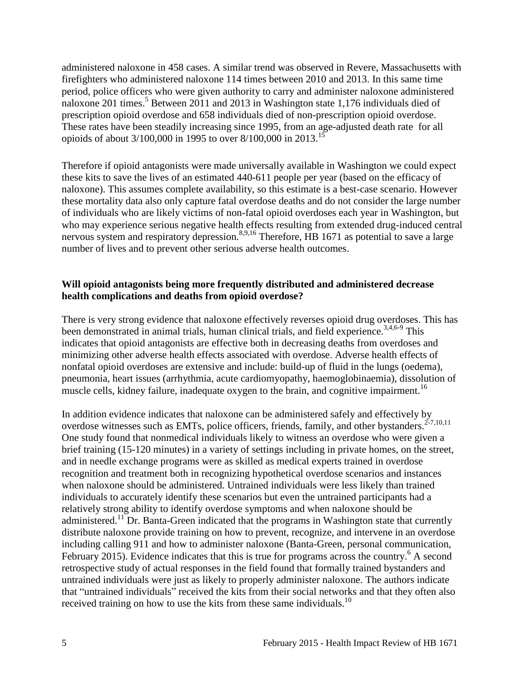administered naloxone in 458 cases. A similar trend was observed in Revere, Massachusetts with firefighters who administered naloxone 114 times between 2010 and 2013. In this same time period, police officers who were given authority to carry and administer naloxone administered naloxone 201 times.<sup>[5](#page-9-1)</sup> Between 2011 and 2013 in Washington state 1,176 individuals died of prescription opioid overdose and 658 individuals died of non-prescription opioid overdose. These rates have been steadily increasing since 1995, from an age-adjusted death rate for all opioids of about 3/100,000 in 1995 to over 8/100,000 in 2013.<sup>[15](#page-13-1)</sup>

Therefore if opioid antagonists were made universally available in Washington we could expect these kits to save the lives of an estimated 440-611 people per year (based on the efficacy of naloxone). This assumes complete availability, so this estimate is a best-case scenario. However these mortality data also only capture fatal overdose deaths and do not consider the large number of individuals who are likely victims of non-fatal opioid overdoses each year in Washington, but who may experience serious negative health effects resulting from extended drug-induced central nervous system and respiratory depression.<sup>[8](#page-11-0)[,9](#page-11-1)[,16](#page-14-0)</sup> Therefore, HB 1671 as potential to save a large number of lives and to prevent other serious adverse health outcomes.

#### **Will opioid antagonists being more frequently distributed and administered decrease health complications and deaths from opioid overdose?**

There is very strong evidence that naloxone effectively reverses opioid drug overdoses. This has been demonstrated in animal trials, human clinical trials, and field experience.<sup>[3,](#page-8-2)[4,](#page-8-3)[6-9](#page-9-0)</sup> This indicates that opioid antagonists are effective both in decreasing deaths from overdoses and minimizing other adverse health effects associated with overdose. Adverse health effects of nonfatal opioid overdoses are extensive and include: build-up of fluid in the lungs (oedema), pneumonia, heart issues (arrhythmia, acute cardiomyopathy, haemoglobinaemia), dissolution of muscle cells, kidney failure, inadequate oxygen to the brain, and cognitive impairment.<sup>[16](#page-14-0)</sup>

In addition evidence indicates that naloxone can be administered safely and effectively by overdose witnesses such as EMTs, police officers, friends, family, and other bystanders.<sup>[2-7](#page-8-4)[,10](#page-12-0)[,11](#page-12-1)</sup> One study found that nonmedical individuals likely to witness an overdose who were given a brief training (15-120 minutes) in a variety of settings including in private homes, on the street, and in needle exchange programs were as skilled as medical experts trained in overdose recognition and treatment both in recognizing hypothetical overdose scenarios and instances when naloxone should be administered. Untrained individuals were less likely than trained individuals to accurately identify these scenarios but even the untrained participants had a relatively strong ability to identify overdose symptoms and when naloxone should be administered.<sup>[11](#page-12-1)</sup> Dr. Banta-Green indicated that the programs in Washington state that currently distribute naloxone provide training on how to prevent, recognize, and intervene in an overdose including calling 911 and how to administer naloxone (Banta-Green, personal communication, February 2015). Evidence indicates that this is true for programs across the country.<sup>[6](#page-9-0)</sup> A second retrospective study of actual responses in the field found that formally trained bystanders and untrained individuals were just as likely to properly administer naloxone. The authors indicate that "untrained individuals" received the kits from their social networks and that they often also received training on how to use the kits from these same individuals.<sup>[10](#page-12-0)</sup>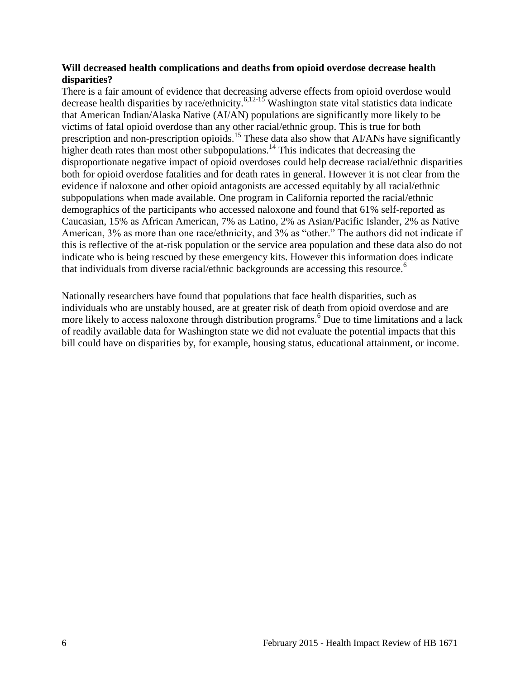#### **Will decreased health complications and deaths from opioid overdose decrease health disparities?**

There is a fair amount of evidence that decreasing adverse effects from opioid overdose would decrease health disparities by race/ethnicity.<sup>[6](#page-9-0)[,12-15](#page-13-0)</sup> Washington state vital statistics data indicate that American Indian/Alaska Native (AI/AN) populations are significantly more likely to be victims of fatal opioid overdose than any other racial/ethnic group. This is true for both prescription and non-prescription opioids.<sup>[15](#page-13-1)</sup> These data also show that AI/ANs have significantly higher death rates than most other subpopulations.<sup>[14](#page-13-2)</sup> This indicates that decreasing the disproportionate negative impact of opioid overdoses could help decrease racial/ethnic disparities both for opioid overdose fatalities and for death rates in general. However it is not clear from the evidence if naloxone and other opioid antagonists are accessed equitably by all racial/ethnic subpopulations when made available. One program in California reported the racial/ethnic demographics of the participants who accessed naloxone and found that 61% self-reported as Caucasian, 15% as African American, 7% as Latino, 2% as Asian/Pacific Islander, 2% as Native American, 3% as more than one race/ethnicity, and 3% as "other." The authors did not indicate if this is reflective of the at-risk population or the service area population and these data also do not indicate who is being rescued by these emergency kits. However this information does indicate that individuals from diverse racial/ethnic backgrounds are accessing this resource[.](#page-9-0)<sup>6</sup>

Nationally researchers have found that populations that face health disparities, such as individuals who are unstably housed, are at greater risk of death from opioid overdose and are more likely to access naloxone through distribution programs.<sup>[6](#page-9-0)</sup> Due to time limitations and a lack of readily available data for Washington state we did not evaluate the potential impacts that this bill could have on disparities by, for example, housing status, educational attainment, or income.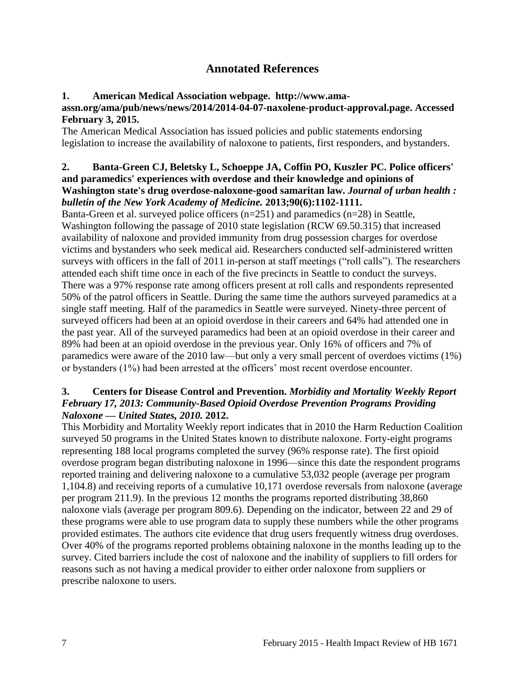## **Annotated References**

#### <span id="page-8-1"></span><span id="page-8-0"></span>**1. American Medical Association webpage. http://www.ama-**

#### **assn.org/ama/pub/news/news/2014/2014-04-07-naxolene-product-approval.page. Accessed February 3, 2015.**

The American Medical Association has issued policies and public statements endorsing legislation to increase the availability of naloxone to patients, first responders, and bystanders.

#### <span id="page-8-4"></span>**2. Banta-Green CJ, Beletsky L, Schoeppe JA, Coffin PO, Kuszler PC. Police officers' and paramedics' experiences with overdose and their knowledge and opinions of Washington state's drug overdose-naloxone-good samaritan law.** *Journal of urban health : bulletin of the New York Academy of Medicine.* **2013;90(6):1102-1111.**

Banta-Green et al. surveyed police officers (n=251) and paramedics (n=28) in Seattle, Washington following the passage of 2010 state legislation (RCW 69.50.315) that increased availability of naloxone and provided immunity from drug possession charges for overdose victims and bystanders who seek medical aid. Researchers conducted self-administered written surveys with officers in the fall of 2011 in-person at staff meetings ("roll calls"). The researchers attended each shift time once in each of the five precincts in Seattle to conduct the surveys. There was a 97% response rate among officers present at roll calls and respondents represented 50% of the patrol officers in Seattle. During the same time the authors surveyed paramedics at a single staff meeting. Half of the paramedics in Seattle were surveyed. Ninety-three percent of surveyed officers had been at an opioid overdose in their careers and 64% had attended one in the past year. All of the surveyed paramedics had been at an opioid overdose in their career and 89% had been at an opioid overdose in the previous year. Only 16% of officers and 7% of paramedics were aware of the 2010 law—but only a very small percent of overdoes victims (1%) or bystanders (1%) had been arrested at the officers' most recent overdose encounter.

#### <span id="page-8-2"></span>**3. Centers for Disease Control and Prevention.** *Morbidity and Mortality Weekly Report February 17, 2013: Community-Based Opioid Overdose Prevention Programs Providing Naloxone — United States, 2010.* **2012.**

<span id="page-8-3"></span>This Morbidity and Mortality Weekly report indicates that in 2010 the Harm Reduction Coalition surveyed 50 programs in the United States known to distribute naloxone. Forty-eight programs representing 188 local programs completed the survey (96% response rate). The first opioid overdose program began distributing naloxone in 1996—since this date the respondent programs reported training and delivering naloxone to a cumulative 53,032 people (average per program 1,104.8) and receiving reports of a cumulative 10,171 overdose reversals from naloxone (average per program 211.9). In the previous 12 months the programs reported distributing 38,860 naloxone vials (average per program 809.6). Depending on the indicator, between 22 and 29 of these programs were able to use program data to supply these numbers while the other programs provided estimates. The authors cite evidence that drug users frequently witness drug overdoses. Over 40% of the programs reported problems obtaining naloxone in the months leading up to the survey. Cited barriers include the cost of naloxone and the inability of suppliers to fill orders for reasons such as not having a medical provider to either order naloxone from suppliers or prescribe naloxone to users.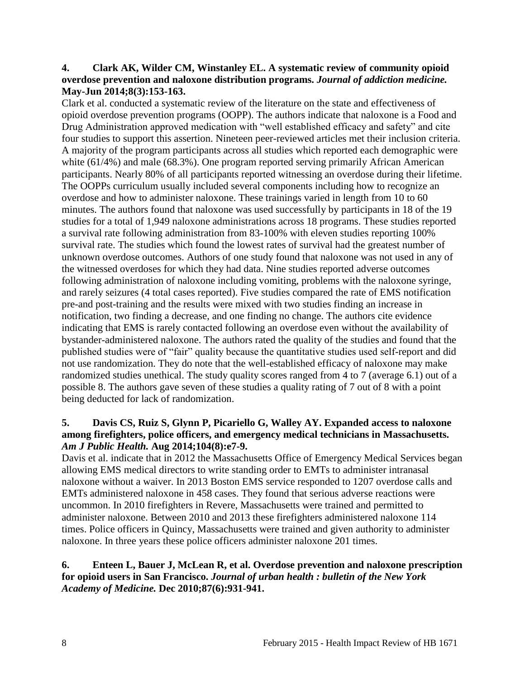#### **4. Clark AK, Wilder CM, Winstanley EL. A systematic review of community opioid overdose prevention and naloxone distribution programs.** *Journal of addiction medicine.*  **May-Jun 2014;8(3):153-163.**

Clark et al. conducted a systematic review of the literature on the state and effectiveness of opioid overdose prevention programs (OOPP). The authors indicate that naloxone is a Food and Drug Administration approved medication with "well established efficacy and safety" and cite four studies to support this assertion. Nineteen peer-reviewed articles met their inclusion criteria. A majority of the program participants across all studies which reported each demographic were white (61/4%) and male (68.3%). One program reported serving primarily African American participants. Nearly 80% of all participants reported witnessing an overdose during their lifetime. The OOPPs curriculum usually included several components including how to recognize an overdose and how to administer naloxone. These trainings varied in length from 10 to 60 minutes. The authors found that naloxone was used successfully by participants in 18 of the 19 studies for a total of 1,949 naloxone administrations across 18 programs. These studies reported a survival rate following administration from 83-100% with eleven studies reporting 100% survival rate. The studies which found the lowest rates of survival had the greatest number of unknown overdose outcomes. Authors of one study found that naloxone was not used in any of the witnessed overdoses for which they had data. Nine studies reported adverse outcomes following administration of naloxone including vomiting, problems with the naloxone syringe, and rarely seizures (4 total cases reported). Five studies compared the rate of EMS notification pre-and post-training and the results were mixed with two studies finding an increase in notification, two finding a decrease, and one finding no change. The authors cite evidence indicating that EMS is rarely contacted following an overdose even without the availability of bystander-administered naloxone. The authors rated the quality of the studies and found that the published studies were of "fair" quality because the quantitative studies used self-report and did not use randomization. They do note that the well-established efficacy of naloxone may make randomized studies unethical. The study quality scores ranged from 4 to 7 (average 6.1) out of a possible 8. The authors gave seven of these studies a quality rating of 7 out of 8 with a point being deducted for lack of randomization.

#### <span id="page-9-1"></span>**5. Davis CS, Ruiz S, Glynn P, Picariello G, Walley AY. Expanded access to naloxone among firefighters, police officers, and emergency medical technicians in Massachusetts.**  *Am J Public Health.* **Aug 2014;104(8):e7-9.**

Davis et al. indicate that in 2012 the Massachusetts Office of Emergency Medical Services began allowing EMS medical directors to write standing order to EMTs to administer intranasal naloxone without a waiver. In 2013 Boston EMS service responded to 1207 overdose calls and EMTs administered naloxone in 458 cases. They found that serious adverse reactions were uncommon. In 2010 firefighters in Revere, Massachusetts were trained and permitted to administer naloxone. Between 2010 and 2013 these firefighters administered naloxone 114 times. Police officers in Quincy, Massachusetts were trained and given authority to administer naloxone. In three years these police officers administer naloxone 201 times.

#### <span id="page-9-0"></span>**6. Enteen L, Bauer J, McLean R, et al. Overdose prevention and naloxone prescription for opioid users in San Francisco.** *Journal of urban health : bulletin of the New York Academy of Medicine.* **Dec 2010;87(6):931-941.**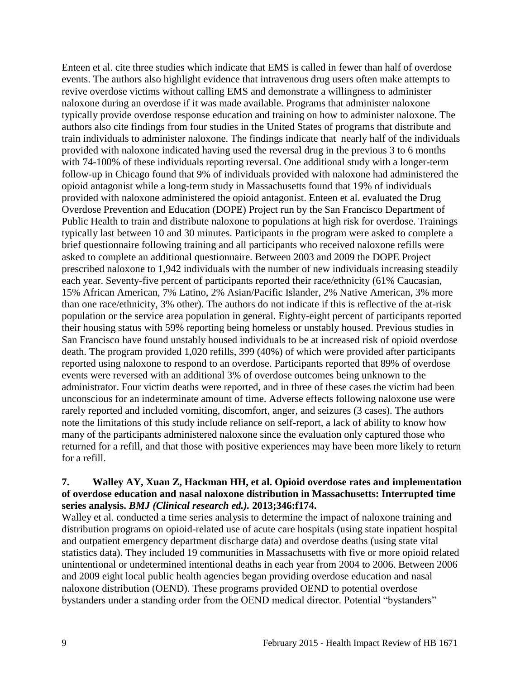Enteen et al. cite three studies which indicate that EMS is called in fewer than half of overdose events. The authors also highlight evidence that intravenous drug users often make attempts to revive overdose victims without calling EMS and demonstrate a willingness to administer naloxone during an overdose if it was made available. Programs that administer naloxone typically provide overdose response education and training on how to administer naloxone. The authors also cite findings from four studies in the United States of programs that distribute and train individuals to administer naloxone. The findings indicate that nearly half of the individuals provided with naloxone indicated having used the reversal drug in the previous 3 to 6 months with 74-100% of these individuals reporting reversal. One additional study with a longer-term follow-up in Chicago found that 9% of individuals provided with naloxone had administered the opioid antagonist while a long-term study in Massachusetts found that 19% of individuals provided with naloxone administered the opioid antagonist. Enteen et al. evaluated the Drug Overdose Prevention and Education (DOPE) Project run by the San Francisco Department of Public Health to train and distribute naloxone to populations at high risk for overdose. Trainings typically last between 10 and 30 minutes. Participants in the program were asked to complete a brief questionnaire following training and all participants who received naloxone refills were asked to complete an additional questionnaire. Between 2003 and 2009 the DOPE Project prescribed naloxone to 1,942 individuals with the number of new individuals increasing steadily each year. Seventy-five percent of participants reported their race/ethnicity (61% Caucasian, 15% African American, 7% Latino, 2% Asian/Pacific Islander, 2% Native American, 3% more than one race/ethnicity, 3% other). The authors do not indicate if this is reflective of the at-risk population or the service area population in general. Eighty-eight percent of participants reported their housing status with 59% reporting being homeless or unstably housed. Previous studies in San Francisco have found unstably housed individuals to be at increased risk of opioid overdose death. The program provided 1,020 refills, 399 (40%) of which were provided after participants reported using naloxone to respond to an overdose. Participants reported that 89% of overdose events were reversed with an additional 3% of overdose outcomes being unknown to the administrator. Four victim deaths were reported, and in three of these cases the victim had been unconscious for an indeterminate amount of time. Adverse effects following naloxone use were rarely reported and included vomiting, discomfort, anger, and seizures (3 cases). The authors note the limitations of this study include reliance on self-report, a lack of ability to know how many of the participants administered naloxone since the evaluation only captured those who returned for a refill, and that those with positive experiences may have been more likely to return for a refill.

#### <span id="page-10-0"></span>**7. Walley AY, Xuan Z, Hackman HH, et al. Opioid overdose rates and implementation of overdose education and nasal naloxone distribution in Massachusetts: Interrupted time series analysis.** *BMJ (Clinical research ed.).* **2013;346:f174.**

Walley et al. conducted a time series analysis to determine the impact of naloxone training and distribution programs on opioid-related use of acute care hospitals (using state inpatient hospital and outpatient emergency department discharge data) and overdose deaths (using state vital statistics data). They included 19 communities in Massachusetts with five or more opioid related unintentional or undetermined intentional deaths in each year from 2004 to 2006. Between 2006 and 2009 eight local public health agencies began providing overdose education and nasal naloxone distribution (OEND). These programs provided OEND to potential overdose bystanders under a standing order from the OEND medical director. Potential "bystanders"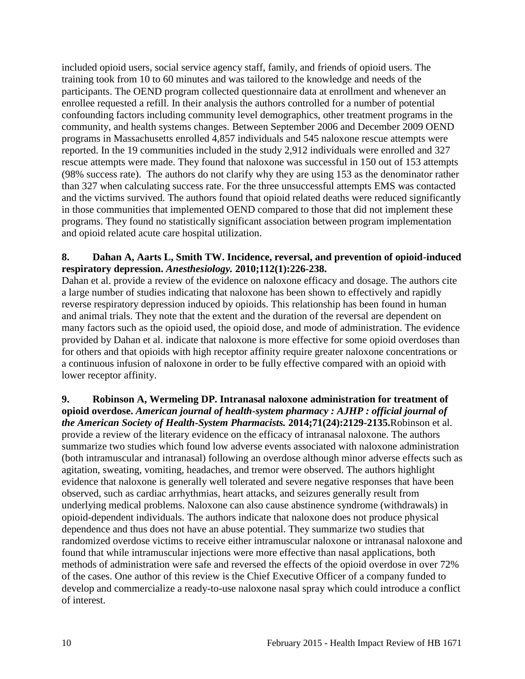included opioid users, social service agency staff, family, and friends of opioid users. The training took from 10 to 60 minutes and was tailored to the knowledge and needs of the participants. The OEND program collected questionnaire data at enrollment and whenever an enrollee requested a refill. In their analysis the authors controlled for a number of potential confounding factors including community level demographics, other treatment programs in the community, and health systems changes. Between September 2006 and December 2009 OEND programs in Massachusetts enrolled 4,857 individuals and 545 naloxone rescue attempts were reported. In the 19 communities included in the study 2,912 individuals were enrolled and 327 rescue attempts were made. They found that naloxone was successful in 150 out of 153 attempts (98% success rate). The authors do not clarify why they are using 153 as the denominator rather than 327 when calculating success rate. For the three unsuccessful attempts EMS was contacted and the victims survived. The authors found that opioid related deaths were reduced significantly in those communities that implemented OEND compared to those that did not implement these programs. They found no statistically significant association between program implementation and opioid related acute care hospital utilization.

#### <span id="page-11-0"></span>**8. Dahan A, Aarts L, Smith TW. Incidence, reversal, and prevention of opioid-induced respiratory depression.** *Anesthesiology.* **2010;112(1):226-238.**

Dahan et al. provide a review of the evidence on naloxone efficacy and dosage. The authors cite a large number of studies indicating that naloxone has been shown to effectively and rapidly reverse respiratory depression induced by opioids. This relationship has been found in human and animal trials. They note that the extent and the duration of the reversal are dependent on many factors such as the opioid used, the opioid dose, and mode of administration. The evidence provided by Dahan et al. indicate that naloxone is more effective for some opioid overdoses than for others and that opioids with high receptor affinity require greater naloxone concentrations or a continuous infusion of naloxone in order to be fully effective compared with an opioid with lower receptor affinity.

<span id="page-11-1"></span>**9. Robinson A, Wermeling DP. Intranasal naloxone administration for treatment of opioid overdose.** *American journal of health-system pharmacy : AJHP : official journal of the American Society of Health-System Pharmacists.* **2014;71(24):2129-2135.**Robinson et al. provide a review of the literary evidence on the efficacy of intranasal naloxone. The authors summarize two studies which found low adverse events associated with naloxone administration (both intramuscular and intranasal) following an overdose although minor adverse effects such as agitation, sweating, vomiting, headaches, and tremor were observed. The authors highlight evidence that naloxone is generally well tolerated and severe negative responses that have been observed, such as cardiac arrhythmias, heart attacks, and seizures generally result from underlying medical problems. Naloxone can also cause abstinence syndrome (withdrawals) in opioid-dependent individuals. The authors indicate that naloxone does not produce physical dependence and thus does not have an abuse potential. They summarize two studies that randomized overdose victims to receive either intramuscular naloxone or intranasal naloxone and found that while intramuscular injections were more effective than nasal applications, both methods of administration were safe and reversed the effects of the opioid overdose in over 72% of the cases. One author of this review is the Chief Executive Officer of a company funded to develop and commercialize a ready-to-use naloxone nasal spray which could introduce a conflict of interest.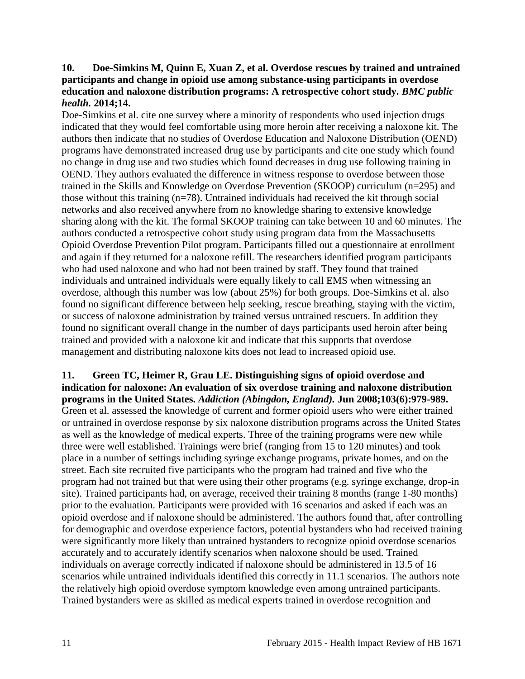#### <span id="page-12-0"></span>**10. Doe-Simkins M, Quinn E, Xuan Z, et al. Overdose rescues by trained and untrained participants and change in opioid use among substance-using participants in overdose education and naloxone distribution programs: A retrospective cohort study.** *BMC public health.* **2014;14.**

Doe-Simkins et al. cite one survey where a minority of respondents who used injection drugs indicated that they would feel comfortable using more heroin after receiving a naloxone kit. The authors then indicate that no studies of Overdose Education and Naloxone Distribution (OEND) programs have demonstrated increased drug use by participants and cite one study which found no change in drug use and two studies which found decreases in drug use following training in OEND. They authors evaluated the difference in witness response to overdose between those trained in the Skills and Knowledge on Overdose Prevention (SKOOP) curriculum (n=295) and those without this training (n=78). Untrained individuals had received the kit through social networks and also received anywhere from no knowledge sharing to extensive knowledge sharing along with the kit. The formal SKOOP training can take between 10 and 60 minutes. The authors conducted a retrospective cohort study using program data from the Massachusetts Opioid Overdose Prevention Pilot program. Participants filled out a questionnaire at enrollment and again if they returned for a naloxone refill. The researchers identified program participants who had used naloxone and who had not been trained by staff. They found that trained individuals and untrained individuals were equally likely to call EMS when witnessing an overdose, although this number was low (about 25%) for both groups. Doe-Simkins et al. also found no significant difference between help seeking, rescue breathing, staying with the victim, or success of naloxone administration by trained versus untrained rescuers. In addition they found no significant overall change in the number of days participants used heroin after being trained and provided with a naloxone kit and indicate that this supports that overdose management and distributing naloxone kits does not lead to increased opioid use.

<span id="page-12-1"></span>**11. Green TC, Heimer R, Grau LE. Distinguishing signs of opioid overdose and indication for naloxone: An evaluation of six overdose training and naloxone distribution programs in the United States.** *Addiction (Abingdon, England).* **Jun 2008;103(6):979-989.** Green et al. assessed the knowledge of current and former opioid users who were either trained or untrained in overdose response by six naloxone distribution programs across the United States as well as the knowledge of medical experts. Three of the training programs were new while three were well established. Trainings were brief (ranging from 15 to 120 minutes) and took place in a number of settings including syringe exchange programs, private homes, and on the street. Each site recruited five participants who the program had trained and five who the program had not trained but that were using their other programs (e.g. syringe exchange, drop-in site). Trained participants had, on average, received their training 8 months (range 1-80 months) prior to the evaluation. Participants were provided with 16 scenarios and asked if each was an opioid overdose and if naloxone should be administered. The authors found that, after controlling for demographic and overdose experience factors, potential bystanders who had received training were significantly more likely than untrained bystanders to recognize opioid overdose scenarios accurately and to accurately identify scenarios when naloxone should be used. Trained individuals on average correctly indicated if naloxone should be administered in 13.5 of 16 scenarios while untrained individuals identified this correctly in 11.1 scenarios. The authors note the relatively high opioid overdose symptom knowledge even among untrained participants. Trained bystanders were as skilled as medical experts trained in overdose recognition and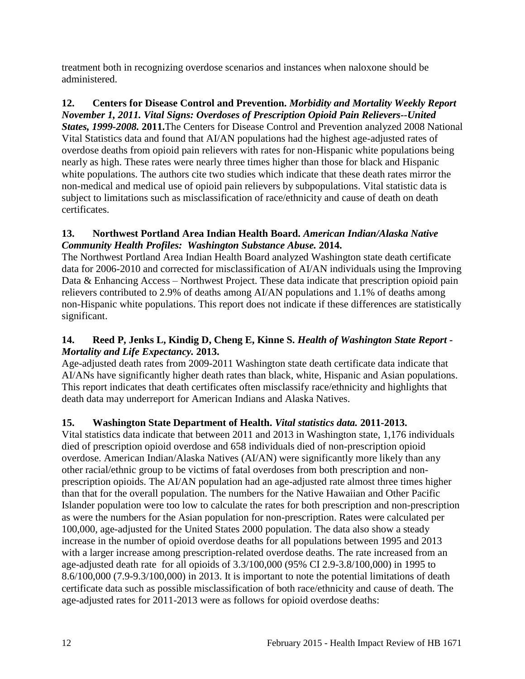treatment both in recognizing overdose scenarios and instances when naloxone should be administered.

#### <span id="page-13-0"></span>**12. Centers for Disease Control and Prevention.** *Morbidity and Mortality Weekly Report November 1, 2011. Vital Signs: Overdoses of Prescription Opioid Pain Relievers--United*

*States, 1999-2008.* **2011.**The Centers for Disease Control and Prevention analyzed 2008 National Vital Statistics data and found that AI/AN populations had the highest age-adjusted rates of overdose deaths from opioid pain relievers with rates for non-Hispanic white populations being nearly as high. These rates were nearly three times higher than those for black and Hispanic white populations. The authors cite two studies which indicate that these death rates mirror the non-medical and medical use of opioid pain relievers by subpopulations. Vital statistic data is subject to limitations such as misclassification of race/ethnicity and cause of death on death certificates.

## **13. Northwest Portland Area Indian Health Board.** *American Indian/Alaska Native Community Health Profiles: Washington Substance Abuse.* **2014.**

The Northwest Portland Area Indian Health Board analyzed Washington state death certificate data for 2006-2010 and corrected for misclassification of AI/AN individuals using the Improving Data & Enhancing Access – Northwest Project. These data indicate that prescription opioid pain relievers contributed to 2.9% of deaths among AI/AN populations and 1.1% of deaths among non-Hispanic white populations. This report does not indicate if these differences are statistically significant.

## <span id="page-13-2"></span>**14. Reed P, Jenks L, Kindig D, Cheng E, Kinne S.** *Health of Washington State Report - Mortality and Life Expectancy.* **2013.**

Age-adjusted death rates from 2009-2011 Washington state death certificate data indicate that AI/ANs have significantly higher death rates than black, white, Hispanic and Asian populations. This report indicates that death certificates often misclassify race/ethnicity and highlights that death data may underreport for American Indians and Alaska Natives.

## <span id="page-13-1"></span>**15. Washington State Department of Health.** *Vital statistics data.* **2011-2013.**

Vital statistics data indicate that between 2011 and 2013 in Washington state, 1,176 individuals died of prescription opioid overdose and 658 individuals died of non-prescription opioid overdose. American Indian/Alaska Natives (AI/AN) were significantly more likely than any other racial/ethnic group to be victims of fatal overdoses from both prescription and nonprescription opioids. The AI/AN population had an age-adjusted rate almost three times higher than that for the overall population. The numbers for the Native Hawaiian and Other Pacific Islander population were too low to calculate the rates for both prescription and non-prescription as were the numbers for the Asian population for non-prescription. Rates were calculated per 100,000, age-adjusted for the United States 2000 population. The data also show a steady increase in the number of opioid overdose deaths for all populations between 1995 and 2013 with a larger increase among prescription-related overdose deaths. The rate increased from an age-adjusted death rate for all opioids of 3.3/100,000 (95% CI 2.9-3.8/100,000) in 1995 to 8.6/100,000 (7.9-9.3/100,000) in 2013. It is important to note the potential limitations of death certificate data such as possible misclassification of both race/ethnicity and cause of death. The age-adjusted rates for 2011-2013 were as follows for opioid overdose deaths: